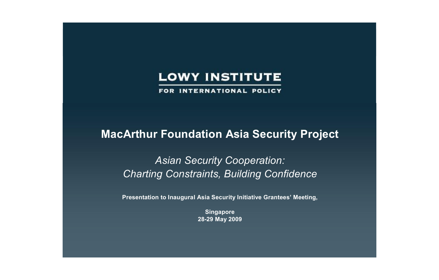FOR INTERNATIONAL POLICY

## **MacArthur Foundation Asia Security Project**

*Asian Security Cooperation: Charting Constraints, Building Confidence*

**Presentation to Inaugural Asia Security Initiative Grantees' Meeting,** 

**Singapore 2829 May 2009**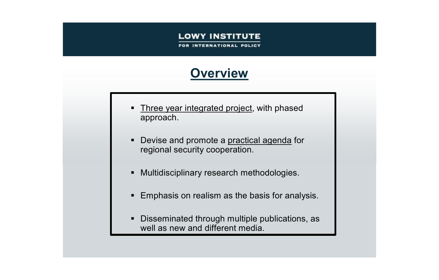**INTERNATIONAL POLICY** 

## **Overview**

- Three year integrated project, with phased approach.
- Devise and promote a practical agenda for regional security cooperation.
- **KRUMANIG Multidisciplinary research methodologies.**
- **Emphasis on realism as the basis for analysis.**
- **Disseminated through multiple publications, as** well as new and different media.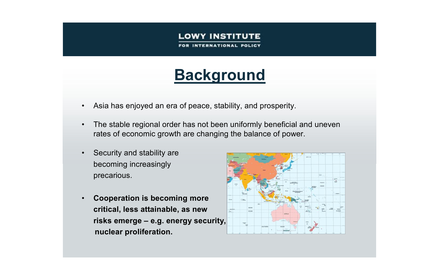**INTERNATIONAL POLICY** 

# **Background**

- Asia has enjoyed an era of peace, stability, and prosperity.
- The stable regional order has not been uniformly beneficial and uneven rates of economic growth are changing the balance of power.
- Security and stability are becoming increasingly precarious.
- **Cooperation is becoming more critical, less attainable, as new risks emerge – e.g. energy security, nuclear proliferation.**

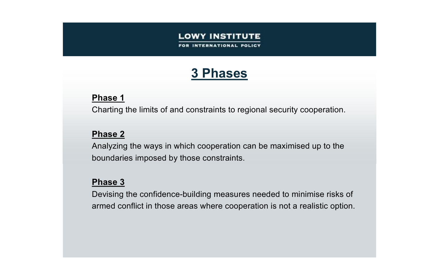## **3 Phases**

### **Phase 1**

Charting the limits of and constraints to regional security cooperation.

### **Phase 2**

Analyzing the ways in which cooperation can be maximised up to the boundaries imposed by those constraints.

### **Phase 3**

Devising the confidence-building measures needed to minimise risks of armed conflict in those areas where cooperation is not a realistic option.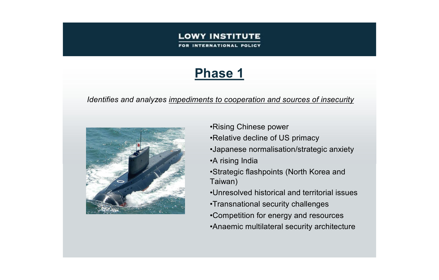**ERNATIONAL POLICY** 

## **Phase 1**

#### *Identifies and analyzes impediments to cooperation and sources of insecurity*



- •Rising Chinese power
- •Relative decline of US primacy
- •Japanese normalisation/strategic anxiety
- •A rising India
- •Strategic flashpoints (North Korea and Taiwan)
- •Unresolved historical and territorial issues
- •Transnational security challenges
- •Competition for energy and resources
- •Anaemic multilateral security architecture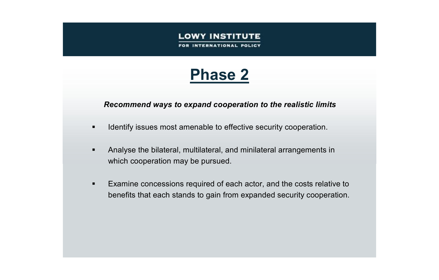# **Phase 2**

#### *Recommend ways to expand cooperation to the realistic limits*

- Identify issues most amenable to effective security cooperation.
- ß Analyse the bilateral, multilateral, and minilateral arrangements in which cooperation may be pursued.
- **Examine concessions required of each actor, and the costs relative to** benefits that each stands to gain from expanded security cooperation.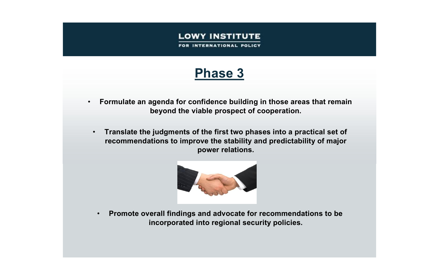FOR INTERNATIONAL POLICY

## **Phase 3**

- **Formulate an agenda for confidence building in those areas that remain beyond the viable prospect of cooperation.**
	- **Translate the judgments of the first two phases into a practical set of recommendations to improve the stability and predictability of major power relations.**



• **Promote overall findings and advocate for recommendations to be incorporated into regional security policies.**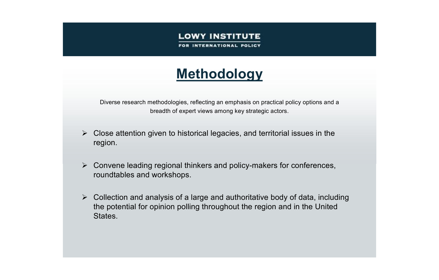INTERNATIONAL POLICY

# **Methodology**

Diverse research methodologies, reflecting an emphasis on practical policy options and a breadth of expert views among key strategic actors.

- $\triangleright$  Close attention given to historical legacies, and territorial issues in the region.
- $\triangleright$  Convene leading regional thinkers and policy-makers for conferences, roundtables and workshops.
- $\triangleright$  Collection and analysis of a large and authoritative body of data, including the potential for opinion polling throughout the region and in the United States.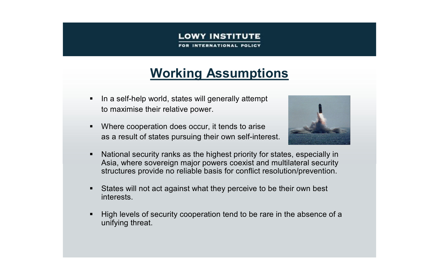**INTERNATIONAL POLICY** 

## **Working Assumptions**

- $\blacksquare$  In a self-help world, states will generally attempt to maximise their relative power.
- Where cooperation does occur, it tends to arise as a result of states pursuing their own self-interest.



- National security ranks as the highest priority for states, especially in Asia, where sovereign major powers coexist and multilateral security structures provide no reliable basis for conflict resolution/prevention.
- **States will not act against what they perceive to be their own best** interests.
- High levels of security cooperation tend to be rare in the absence of a unifying threat.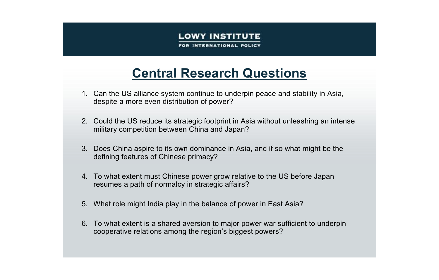INTERNATIONAL POLICY

## **Central Research Questions**

- 1. Can the US alliance system continue to underpin peace and stability in Asia, despite a more even distribution of power?
- 2. Could the US reduce its strategic footprint in Asia without unleashing an intense military competition between China and Japan?
- 3. Does China aspire to its own dominance in Asia, and if so what might be the defining features of Chinese primacy?
- 4. To what extent must Chinese power grow relative to the US before Japan resumes a path of normalcy in strategic affairs?
- 5. What role might India play in the balance of power in East Asia?
- 6. To what extent is a shared aversion to major power war sufficient to underpin cooperative relations among the region's biggest powers?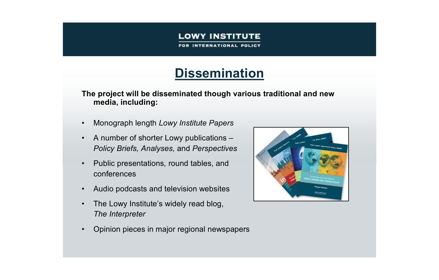**INTERNATIONAL POLICY** 

## **Dissemination**

**The project will be disseminated though various traditional and new media, including:**

- Monograph length *Lowy Institute Papers*
- A number of shorter Lowy publications *Policy Briefs, Analyses,* and *Perspectives*
- Public presentations*,* round tables, and conferences
- Audio podcasts and television websites
- The Lowy Institute's widely read blog, *The Interpreter*
- Opinion pieces in major regional newspapers

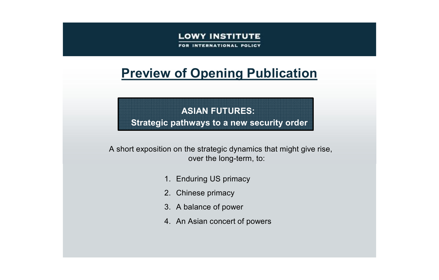FOR INTERNATIONAL POLICY

## **Preview of Opening Publication**

## **ASIAN FUTURES: Strategic pathways to a new security order**

A short exposition on the strategic dynamics that might give rise, over the long-term, to:

- 1. Enduring US primacy
- 2. Chinese primacy
- 3. A balance of power
- 4. An Asian concert of powers